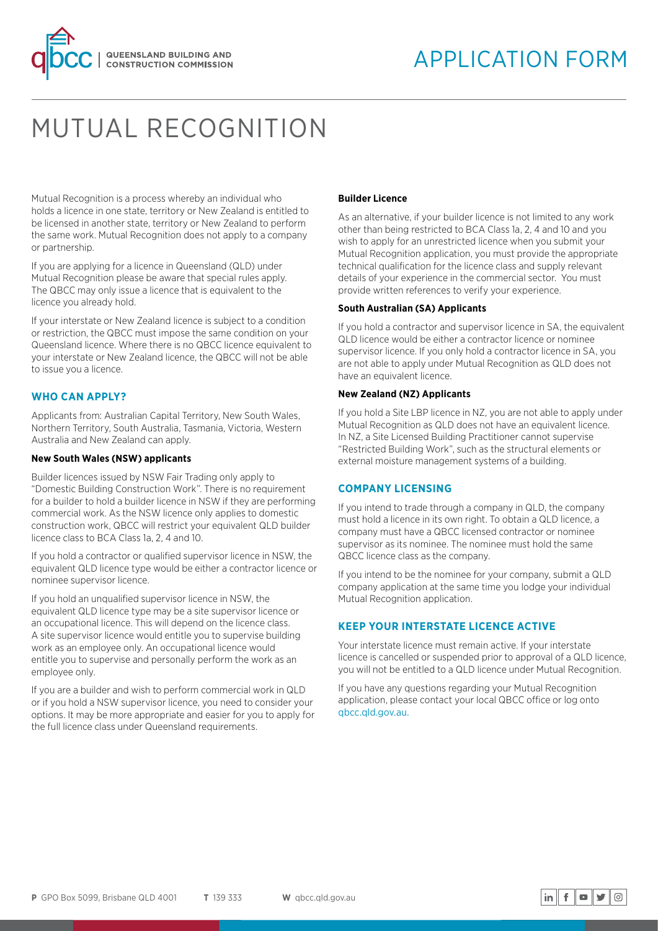

# MUTUAL RECOGNITION

Mutual Recognition is a process whereby an individual who holds a licence in one state, territory or New Zealand is entitled to be licensed in another state, territory or New Zealand to perform the same work. Mutual Recognition does not apply to a company or partnership.

If you are applying for a licence in Queensland (QLD) under Mutual Recognition please be aware that special rules apply. The QBCC may only issue a licence that is equivalent to the licence you already hold.

If your interstate or New Zealand licence is subject to a condition or restriction, the QBCC must impose the same condition on your Queensland licence. Where there is no QBCC licence equivalent to your interstate or New Zealand licence, the QBCC will not be able to issue you a licence.

## **WHO CAN APPLY?**

Applicants from: Australian Capital Territory, New South Wales, Northern Territory, South Australia, Tasmania, Victoria, Western Australia and New Zealand can apply.

## **New South Wales (NSW) applicants**

Builder licences issued by NSW Fair Trading only apply to "Domestic Building Construction Work". There is no requirement for a builder to hold a builder licence in NSW if they are performing commercial work. As the NSW licence only applies to domestic construction work, QBCC will restrict your equivalent QLD builder licence class to BCA Class 1a, 2, 4 and 10.

If you hold a contractor or qualified supervisor licence in NSW, the equivalent QLD licence type would be either a contractor licence or nominee supervisor licence.

If you hold an unqualified supervisor licence in NSW, the equivalent QLD licence type may be a site supervisor licence or an occupational licence. This will depend on the licence class. A site supervisor licence would entitle you to supervise building work as an employee only. An occupational licence would entitle you to supervise and personally perform the work as an employee only.

If you are a builder and wish to perform commercial work in QLD or if you hold a NSW supervisor licence, you need to consider your options. It may be more appropriate and easier for you to apply for the full licence class under Queensland requirements.

## **Builder Licence**

As an alternative, if your builder licence is not limited to any work other than being restricted to BCA Class 1a, 2, 4 and 10 and you wish to apply for an unrestricted licence when you submit your Mutual Recognition application, you must provide the appropriate technical qualification for the licence class and supply relevant details of your experience in the commercial sector. You must provide written references to verify your experience.

## **South Australian (SA) Applicants**

If you hold a contractor and supervisor licence in SA, the equivalent QLD licence would be either a contractor licence or nominee supervisor licence. If you only hold a contractor licence in SA, you are not able to apply under Mutual Recognition as QLD does not have an equivalent licence.

## **New Zealand (NZ) Applicants**

If you hold a Site LBP licence in NZ, you are not able to apply under Mutual Recognition as QLD does not have an equivalent licence. In NZ, a Site Licensed Building Practitioner cannot supervise "Restricted Building Work", such as the structural elements or external moisture management systems of a building.

## **COMPANY LICENSING**

If you intend to trade through a company in QLD, the company must hold a licence in its own right. To obtain a QLD licence, a company must have a QBCC licensed contractor or nominee supervisor as its nominee. The nominee must hold the same QBCC licence class as the company.

If you intend to be the nominee for your company, submit a QLD company application at the same time you lodge your individual Mutual Recognition application.

# **KEEP YOUR INTERSTATE LICENCE ACTIVE**

Your interstate licence must remain active. If your interstate licence is cancelled or suspended prior to approval of a QLD licence, you will not be entitled to a QLD licence under Mutual Recognition.

If you have any questions regarding your Mutual Recognition application, please contact your local QBCC office or log onto [qbcc.qld.gov.au.](http://www.qbcc.qld.gov.au)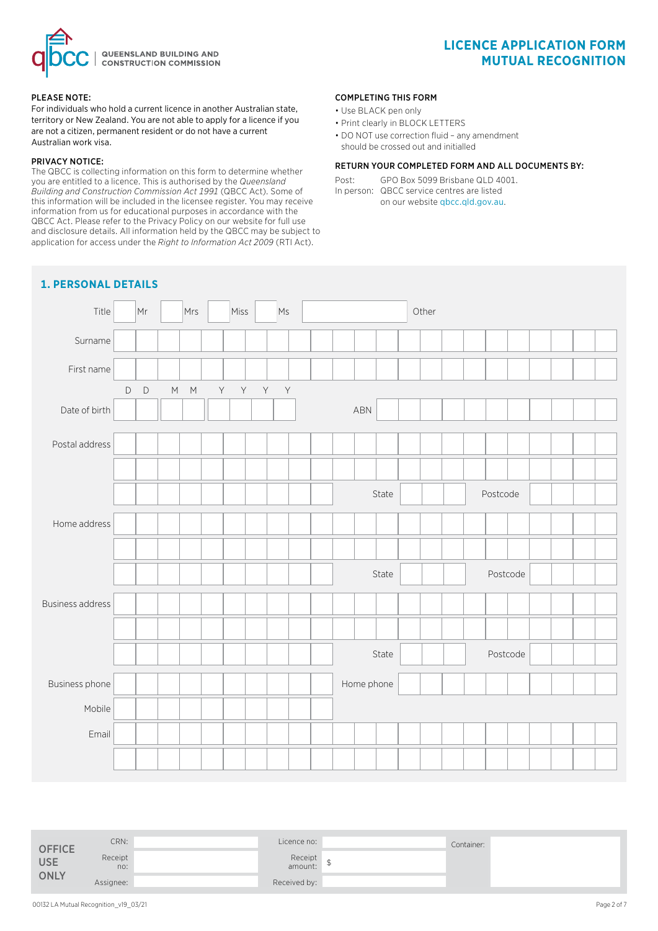

#### PLEASE NOTE:

For individuals who hold a current licence in another Australian state, territory or New Zealand. You are not able to apply for a licence if you are not a citizen, permanent resident or do not have a current Australian work visa.

#### PRIVACY NOTICE:

The QBCC is collecting information on this form to determine whether you are entitled to a licence. This is authorised by the *Queensland Building and Construction Commission Act 1991* (QBCC Act). Some of this information will be included in the licensee register. You may receive information from us for educational purposes in accordance with the QBCC Act. Please refer to the Privacy Policy on our website for full use and disclosure details. All information held by the QBCC may be subject to application for access under the *Right to Information Act 2009* (RTI Act).

#### COMPLETING THIS FORM

- Use BLACK pen only
- Print clearly in BLOCK LETTERS
- DO NOT use correction fluid any amendment should be crossed out and initialled

## RETURN YOUR COMPLETED FORM AND ALL DOCUMENTS BY:

Post: GPO Box 5099 Brisbane QLD 4001. In person: QBCC service centres are listed on our website qbcc.qld.gov.au.



| <b>OFFICE</b> | CRN:           | Licence no:           | Container: |  |
|---------------|----------------|-----------------------|------------|--|
| <b>USE</b>    | Receipt<br>no: | Receipt<br>amount: \$ |            |  |
| <b>ONLY</b>   | Assignee:      | Received by:          |            |  |

# **LICENCE APPLICATION FORM MUTUAL RECOGNITION**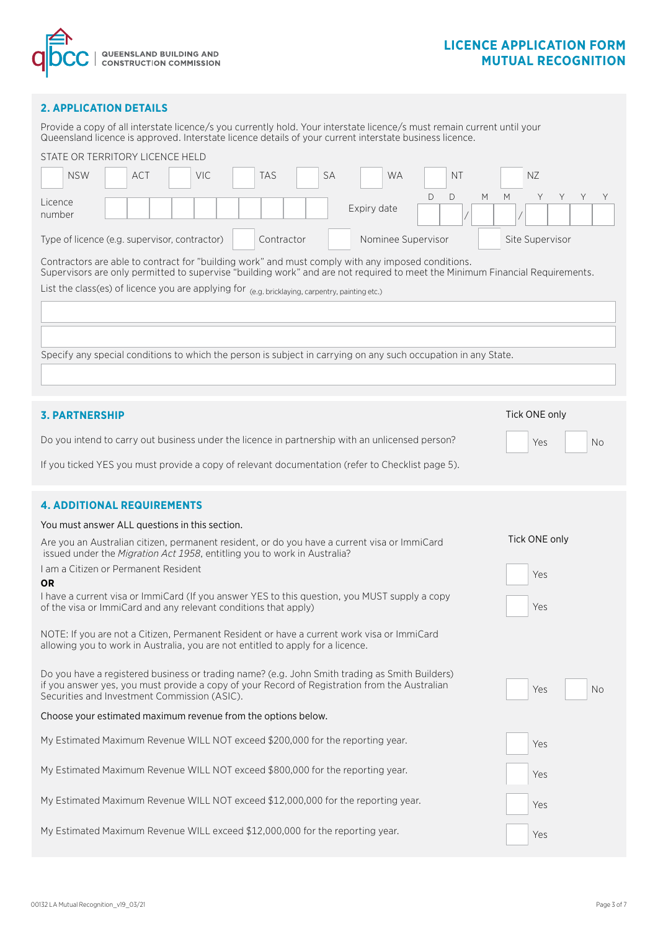

# **LICENCE APPLICATION FORM MUTUAL RECOGNITION**

## **2. APPLICATION DETAILS**

Provide a copy of all interstate licence/s you currently hold. Your interstate licence/s must remain current until your Queensland licence is approved. Interstate licence details of your current interstate business licence.

|                   | STATE OR TERRITORY LICENCE HELD                                                                                                                                                                                                   |  |     |  |  |      |  |            |  |           |             |           |   |           |   |   |               |   |   |           |
|-------------------|-----------------------------------------------------------------------------------------------------------------------------------------------------------------------------------------------------------------------------------|--|-----|--|--|------|--|------------|--|-----------|-------------|-----------|---|-----------|---|---|---------------|---|---|-----------|
|                   | <b>NSW</b>                                                                                                                                                                                                                        |  | ACT |  |  | VIC. |  | <b>TAS</b> |  | <b>SA</b> |             | <b>WA</b> |   | <b>NT</b> |   |   | NZ            |   |   |           |
| Licence<br>number |                                                                                                                                                                                                                                   |  |     |  |  |      |  |            |  |           | Expiry date |           | D | D         | M | M | Y             | Y | Y | Y         |
|                   | Nominee Supervisor<br>Type of licence (e.g. supervisor, contractor)<br>Site Supervisor<br>Contractor                                                                                                                              |  |     |  |  |      |  |            |  |           |             |           |   |           |   |   |               |   |   |           |
|                   | Contractors are able to contract for "building work" and must comply with any imposed conditions.<br>Supervisors are only permitted to supervise "building work" and are not required to meet the Minimum Financial Requirements. |  |     |  |  |      |  |            |  |           |             |           |   |           |   |   |               |   |   |           |
|                   | List the class(es) of licence you are applying for (e.g. bricklaying, carpentry, painting etc.)                                                                                                                                   |  |     |  |  |      |  |            |  |           |             |           |   |           |   |   |               |   |   |           |
|                   |                                                                                                                                                                                                                                   |  |     |  |  |      |  |            |  |           |             |           |   |           |   |   |               |   |   |           |
|                   |                                                                                                                                                                                                                                   |  |     |  |  |      |  |            |  |           |             |           |   |           |   |   |               |   |   |           |
|                   | Specify any special conditions to which the person is subject in carrying on any such occupation in any State.                                                                                                                    |  |     |  |  |      |  |            |  |           |             |           |   |           |   |   |               |   |   |           |
|                   |                                                                                                                                                                                                                                   |  |     |  |  |      |  |            |  |           |             |           |   |           |   |   |               |   |   |           |
|                   | <b>3. PARTNERSHIP</b>                                                                                                                                                                                                             |  |     |  |  |      |  |            |  |           |             |           |   |           |   |   | Tick ONE only |   |   |           |
|                   | Do you intend to carry out business under the licence in partnership with an unlicensed person?                                                                                                                                   |  |     |  |  |      |  |            |  |           |             |           |   |           |   |   | Yes           |   |   | <b>No</b> |
|                   | If you ticked YES you must provide a copy of relevant documentation (refer to Checklist page 5).                                                                                                                                  |  |     |  |  |      |  |            |  |           |             |           |   |           |   |   |               |   |   |           |
|                   |                                                                                                                                                                                                                                   |  |     |  |  |      |  |            |  |           |             |           |   |           |   |   |               |   |   |           |
|                   | <b>4. ADDITIONAL REQUIREMENTS</b>                                                                                                                                                                                                 |  |     |  |  |      |  |            |  |           |             |           |   |           |   |   |               |   |   |           |
|                   | You must answer ALL questions in this section.                                                                                                                                                                                    |  |     |  |  |      |  |            |  |           |             |           |   |           |   |   |               |   |   |           |
|                   | Are you an Australian citizen, permanent resident, or do you have a current visa or ImmiCard<br>issued under the Migration Act 1958, entitling you to work in Australia?                                                          |  |     |  |  |      |  |            |  |           |             |           |   |           |   |   | Tick ONE only |   |   |           |
| <b>OR</b>         | I am a Citizen or Permanent Resident                                                                                                                                                                                              |  |     |  |  |      |  |            |  |           |             |           |   |           |   |   | Yes           |   |   |           |
|                   | I have a current visa or ImmiCard (If you answer YES to this question, you MUST supply a copy<br>of the visa or ImmiCard and any relevant conditions that apply)                                                                  |  |     |  |  |      |  |            |  |           |             |           |   |           |   |   | Yes           |   |   |           |
|                   | NOTE: If you are not a Citizen, Permanent Resident or have a current work visa or ImmiCard<br>allowing you to work in Australia, you are not entitled to apply for a licence.                                                     |  |     |  |  |      |  |            |  |           |             |           |   |           |   |   |               |   |   |           |
|                   | Do you have a registered business or trading name? (e.g. John Smith trading as Smith Builders)                                                                                                                                    |  |     |  |  |      |  |            |  |           |             |           |   |           |   |   |               |   |   |           |
|                   | if you answer yes, you must provide a copy of your Record of Registration from the Australian<br>Securities and Investment Commission (ASIC).                                                                                     |  |     |  |  |      |  |            |  |           |             |           |   |           |   |   | Yes           |   |   | <b>No</b> |
|                   | Choose your estimated maximum revenue from the options below.                                                                                                                                                                     |  |     |  |  |      |  |            |  |           |             |           |   |           |   |   |               |   |   |           |
|                   | My Estimated Maximum Revenue WILL NOT exceed \$200,000 for the reporting year.                                                                                                                                                    |  |     |  |  |      |  |            |  |           |             |           |   |           |   |   | Yes           |   |   |           |
|                   | My Estimated Maximum Revenue WILL NOT exceed \$800,000 for the reporting year.                                                                                                                                                    |  |     |  |  |      |  |            |  |           |             |           |   |           |   |   | Yes           |   |   |           |
|                   | My Estimated Maximum Revenue WILL NOT exceed \$12,000,000 for the reporting year.                                                                                                                                                 |  |     |  |  |      |  |            |  |           |             |           |   |           |   |   | Yes           |   |   |           |
|                   | My Estimated Maximum Revenue WILL exceed \$12,000,000 for the reporting year.                                                                                                                                                     |  |     |  |  |      |  |            |  |           |             |           |   |           |   |   | Yes           |   |   |           |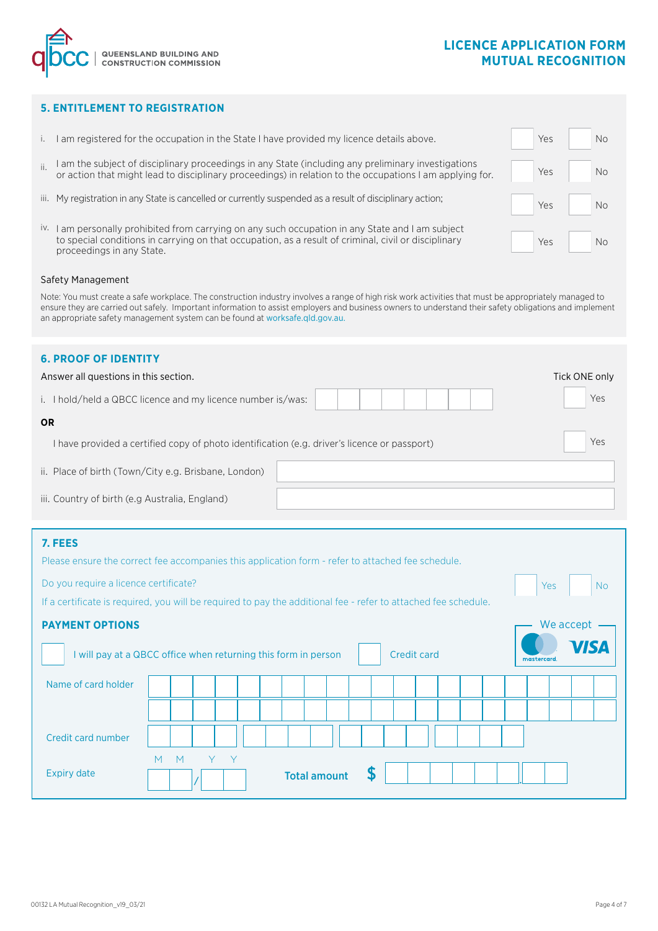# **LICENCE APPLICATION FORM MUTUAL RECOGNITION**



# **5. ENTITLEMENT TO REGISTRATION**

- i. I am registered for the occupation in the State I have provided my licence details above.
- ii. I am the subject of disciplinary proceedings in any State (including any preliminary investigations or action that might lead to disciplinary proceedings) in relation to the occupations I am applying for.
- iii. My registration in any State is cancelled or currently suspended as a result of disciplinary action;
- iv. I am personally prohibited from carrying on any such occupation in any State and I am subject to special conditions in carrying on that occupation, as a result of criminal, civil or disciplinary proceedings in any State.

| Yes | No        |
|-----|-----------|
| Yes | <b>No</b> |
| Yes | No        |
| Yes | No        |

Yes

We accept -

No

#### Safety Management

Note: You must create a safe workplace. The construction industry involves a range of high risk work activities that must be appropriately managed to ensure they are carried out safely. Important information to assist employers and business owners to understand their safety obligations and implement an appropriate safety management system can be found at worksafe.qld.gov.au.

# **6. PROOF OF IDENTITY**

| Answer all questions in this section.                                                               |     |  |  |  |  |  |  |  |
|-----------------------------------------------------------------------------------------------------|-----|--|--|--|--|--|--|--|
| i. I hold/held a QBCC licence and my licence number is/was:                                         | Yes |  |  |  |  |  |  |  |
| <b>OR</b>                                                                                           |     |  |  |  |  |  |  |  |
| Yes<br>I have provided a certified copy of photo identification (e.g. driver's licence or passport) |     |  |  |  |  |  |  |  |
| ii. Place of birth (Town/City e.g. Brisbane, London)                                                |     |  |  |  |  |  |  |  |
| iii. Country of birth (e.g Australia, England)                                                      |     |  |  |  |  |  |  |  |

## **7. FEES**

| Please ensure the correct fee accompanies this application form - refer to attached fee schedule. |
|---------------------------------------------------------------------------------------------------|
|---------------------------------------------------------------------------------------------------|

Do you require a licence certificate?

If a certificate is required, you will be required to pay the additional fee - refer to attached fee schedule.

## **PAYMENT OPTIONS**

| I will pay at a QBCC office when returning this form in person | <b>VISA</b><br>mastercard.                |  |
|----------------------------------------------------------------|-------------------------------------------|--|
| Name of card holder                                            |                                           |  |
|                                                                |                                           |  |
| Credit card number                                             |                                           |  |
| <b>Expiry date</b>                                             | Y Y<br>M<br>M<br>S<br><b>Total amount</b> |  |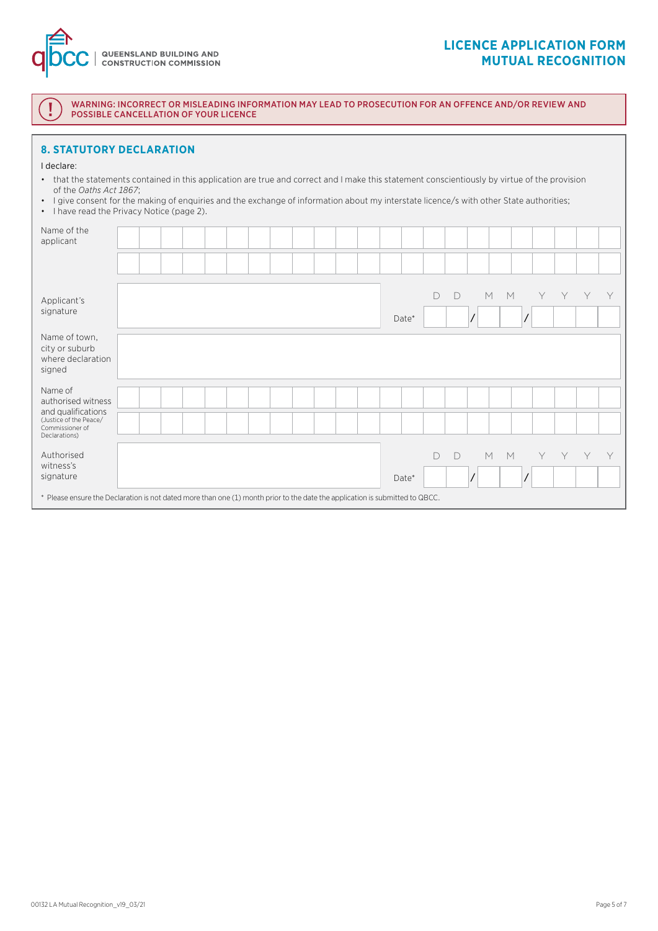

# **LICENCE APPLICATION FORM MUTUAL RECOGNITION**

WARNING: INCORRECT OR MISLEADING INFORMATION MAY LEAD TO PROSECUTION FOR AN OFFENCE AND/OR REVIEW AND POSSIBLE CANCELLATION OF YOUR LICENCE

## **8. STATUTORY DECLARATION**

#### I declare:

- that the statements contained in this application are true and correct and I make this statement conscientiously by virtue of the provision of the *Oaths Act 1867*;
- I give consent for the making of enquiries and the exchange of information about my interstate licence/s with other State authorities;
- I have read the Privacy Notice (page 2).

| Name of the<br>applicant                                                                                                                                             |  |  |  |  |  |  |       |        |        |         |   |   |   |   |   |
|----------------------------------------------------------------------------------------------------------------------------------------------------------------------|--|--|--|--|--|--|-------|--------|--------|---------|---|---|---|---|---|
|                                                                                                                                                                      |  |  |  |  |  |  |       |        |        |         |   |   |   |   |   |
| Applicant's<br>signature                                                                                                                                             |  |  |  |  |  |  | Date* | $\Box$ | $\Box$ | $M$ $M$ |   | Y | Y | Y | Y |
| Name of town,<br>city or suburb<br>where declaration<br>signed                                                                                                       |  |  |  |  |  |  |       |        |        |         |   |   |   |   |   |
| Name of<br>authorised witness<br>and qualifications<br>(Justice of the Peace/<br>Commissioner of<br>Declarations)                                                    |  |  |  |  |  |  |       |        |        |         |   |   |   |   |   |
| Authorised<br>witness's<br>signature<br>* Please ensure the Declaration is not dated more than one (1) month prior to the date the application is submitted to QBCC. |  |  |  |  |  |  | Date* | D      | $\Box$ | M       | M | Y | Υ | Y | Y |
|                                                                                                                                                                      |  |  |  |  |  |  |       |        |        |         |   |   |   |   |   |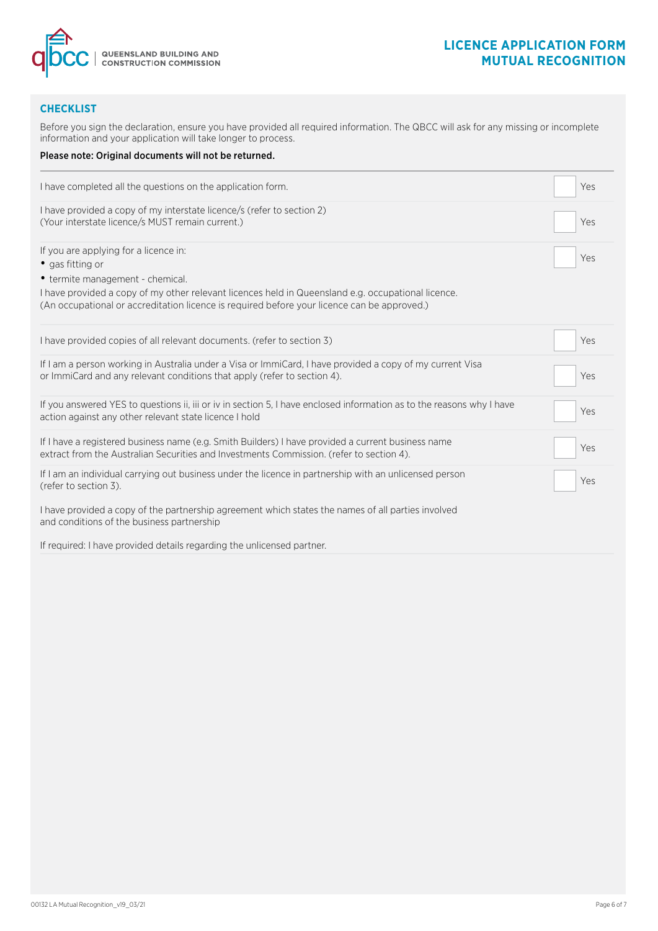

# **CHECKLIST**

Before you sign the declaration, ensure you have provided all required information. The QBCC will ask for any missing or incomplete information and your application will take longer to process.

| Please note: Original documents will not be returned.                                                                                                                                                                                 |     |
|---------------------------------------------------------------------------------------------------------------------------------------------------------------------------------------------------------------------------------------|-----|
| I have completed all the questions on the application form.                                                                                                                                                                           | Yes |
| I have provided a copy of my interstate licence/s (refer to section 2)<br>(Your interstate licence/s MUST remain current.)                                                                                                            | Yes |
| If you are applying for a licence in:<br>• gas fitting or                                                                                                                                                                             | Yes |
| • termite management - chemical.<br>I have provided a copy of my other relevant licences held in Queensland e.g. occupational licence.<br>(An occupational or accreditation licence is required before your licence can be approved.) |     |
| I have provided copies of all relevant documents. (refer to section 3)                                                                                                                                                                | Yes |
| If I am a person working in Australia under a Visa or ImmiCard, I have provided a copy of my current Visa<br>or ImmiCard and any relevant conditions that apply (refer to section 4).                                                 | Yes |
| If you answered YES to questions ii, iii or iv in section 5, I have enclosed information as to the reasons why I have<br>action against any other relevant state licence I hold                                                       | Yes |
| If I have a registered business name (e.g. Smith Builders) I have provided a current business name<br>extract from the Australian Securities and Investments Commission. (refer to section 4).                                        | Yes |
| If I am an individual carrying out business under the licence in partnership with an unlicensed person<br>(refer to section 3).                                                                                                       | Yes |
| I have provided a copy of the partnership agreement which states the names of all parties involved<br>and conditions of the business partnership                                                                                      |     |
| If required: I have provided details regarding the unlicensed partner.                                                                                                                                                                |     |